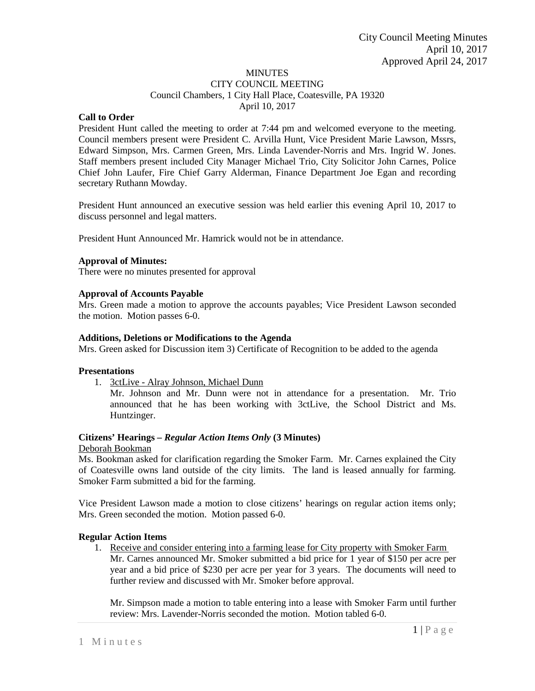# **MINUTES**

CITY COUNCIL MEETING Council Chambers, 1 City Hall Place, Coatesville, PA 19320 April 10, 2017

### **Call to Order**

President Hunt called the meeting to order at 7:44 pm and welcomed everyone to the meeting. Council members present were President C. Arvilla Hunt, Vice President Marie Lawson, Mssrs, Edward Simpson, Mrs. Carmen Green, Mrs. Linda Lavender-Norris and Mrs. Ingrid W. Jones. Staff members present included City Manager Michael Trio, City Solicitor John Carnes, Police Chief John Laufer, Fire Chief Garry Alderman, Finance Department Joe Egan and recording secretary Ruthann Mowday.

President Hunt announced an executive session was held earlier this evening April 10, 2017 to discuss personnel and legal matters.

President Hunt Announced Mr. Hamrick would not be in attendance.

### **Approval of Minutes:**

There were no minutes presented for approval

### **Approval of Accounts Payable**

Mrs. Green made a motion to approve the accounts payables; Vice President Lawson seconded the motion. Motion passes 6-0.

### **Additions, Deletions or Modifications to the Agenda**

Mrs. Green asked for Discussion item 3) Certificate of Recognition to be added to the agenda

#### **Presentations**

1. 3ctLive - Alray Johnson, Michael Dunn

Mr. Johnson and Mr. Dunn were not in attendance for a presentation. Mr. Trio announced that he has been working with 3ctLive, the School District and Ms. Huntzinger.

# **Citizens' Hearings –** *Regular Action Items Only* **(3 Minutes)**

Deborah Bookman

Ms. Bookman asked for clarification regarding the Smoker Farm. Mr. Carnes explained the City of Coatesville owns land outside of the city limits. The land is leased annually for farming. Smoker Farm submitted a bid for the farming.

Vice President Lawson made a motion to close citizens' hearings on regular action items only; Mrs. Green seconded the motion. Motion passed 6-0.

#### **Regular Action Items**

1. Receive and consider entering into a farming lease for City property with Smoker Farm Mr. Carnes announced Mr. Smoker submitted a bid price for 1 year of \$150 per acre per year and a bid price of \$230 per acre per year for 3 years. The documents will need to further review and discussed with Mr. Smoker before approval.

Mr. Simpson made a motion to table entering into a lease with Smoker Farm until further review: Mrs. Lavender-Norris seconded the motion. Motion tabled 6-0.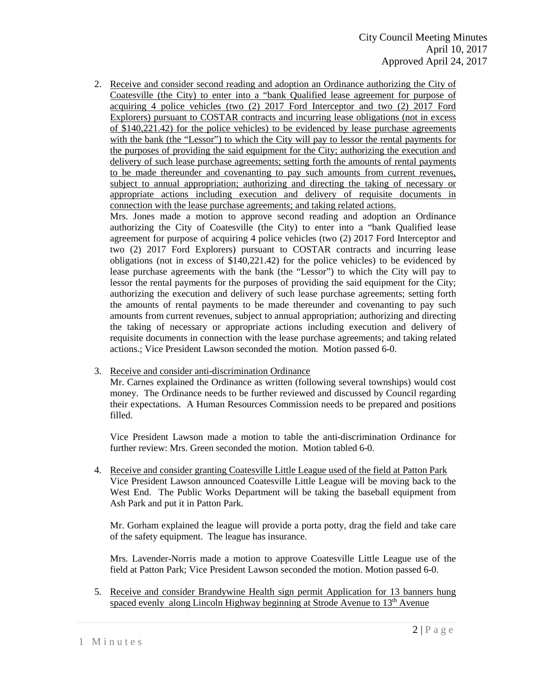2. Receive and consider second reading and adoption an Ordinance authorizing the City of Coatesville (the City) to enter into a "bank Qualified lease agreement for purpose of acquiring 4 police vehicles (two (2) 2017 Ford Interceptor and two (2) 2017 Ford Explorers) pursuant to COSTAR contracts and incurring lease obligations (not in excess of \$140,221.42) for the police vehicles) to be evidenced by lease purchase agreements with the bank (the "Lessor") to which the City will pay to lessor the rental payments for the purposes of providing the said equipment for the City; authorizing the execution and delivery of such lease purchase agreements; setting forth the amounts of rental payments to be made thereunder and covenanting to pay such amounts from current revenues, subject to annual appropriation; authorizing and directing the taking of necessary or appropriate actions including execution and delivery of requisite documents in connection with the lease purchase agreements; and taking related actions.

Mrs. Jones made a motion to approve second reading and adoption an Ordinance authorizing the City of Coatesville (the City) to enter into a "bank Qualified lease agreement for purpose of acquiring 4 police vehicles (two (2) 2017 Ford Interceptor and two (2) 2017 Ford Explorers) pursuant to COSTAR contracts and incurring lease obligations (not in excess of \$140,221.42) for the police vehicles) to be evidenced by lease purchase agreements with the bank (the "Lessor") to which the City will pay to lessor the rental payments for the purposes of providing the said equipment for the City; authorizing the execution and delivery of such lease purchase agreements; setting forth the amounts of rental payments to be made thereunder and covenanting to pay such amounts from current revenues, subject to annual appropriation; authorizing and directing the taking of necessary or appropriate actions including execution and delivery of requisite documents in connection with the lease purchase agreements; and taking related actions.; Vice President Lawson seconded the motion. Motion passed 6-0.

3. Receive and consider anti-discrimination Ordinance

Mr. Carnes explained the Ordinance as written (following several townships) would cost money. The Ordinance needs to be further reviewed and discussed by Council regarding their expectations. A Human Resources Commission needs to be prepared and positions filled.

Vice President Lawson made a motion to table the anti-discrimination Ordinance for further review: Mrs. Green seconded the motion. Motion tabled 6-0.

4. Receive and consider granting Coatesville Little League used of the field at Patton Park Vice President Lawson announced Coatesville Little League will be moving back to the West End. The Public Works Department will be taking the baseball equipment from Ash Park and put it in Patton Park.

Mr. Gorham explained the league will provide a porta potty, drag the field and take care of the safety equipment. The league has insurance.

Mrs. Lavender-Norris made a motion to approve Coatesville Little League use of the field at Patton Park; Vice President Lawson seconded the motion. Motion passed 6-0.

5. Receive and consider Brandywine Health sign permit Application for 13 banners hung spaced evenly along Lincoln Highway beginning at Strode Avenue to  $13<sup>th</sup>$  Avenue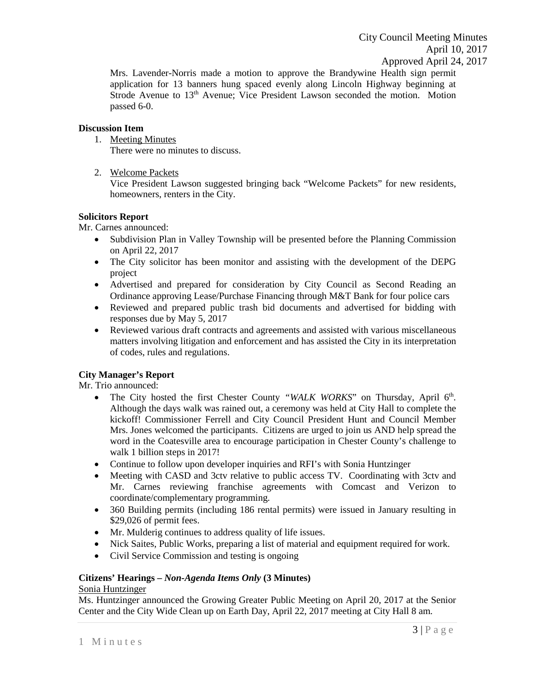Mrs. Lavender-Norris made a motion to approve the Brandywine Health sign permit application for 13 banners hung spaced evenly along Lincoln Highway beginning at Strode Avenue to  $13<sup>th</sup>$  Avenue; Vice President Lawson seconded the motion. Motion passed 6-0.

# **Discussion Item**

1. Meeting Minutes

There were no minutes to discuss.

2. Welcome Packets

Vice President Lawson suggested bringing back "Welcome Packets" for new residents, homeowners, renters in the City.

# **Solicitors Report**

Mr. Carnes announced:

- Subdivision Plan in Valley Township will be presented before the Planning Commission on April 22, 2017
- The City solicitor has been monitor and assisting with the development of the DEPG project
- Advertised and prepared for consideration by City Council as Second Reading an Ordinance approving Lease/Purchase Financing through M&T Bank for four police cars
- Reviewed and prepared public trash bid documents and advertised for bidding with responses due by May 5, 2017
- Reviewed various draft contracts and agreements and assisted with various miscellaneous matters involving litigation and enforcement and has assisted the City in its interpretation of codes, rules and regulations.

# **City Manager's Report**

Mr. Trio announced:

- The City hosted the first Chester County "WALK WORKS" on Thursday, April 6<sup>th</sup>. Although the days walk was rained out, a ceremony was held at City Hall to complete the kickoff! Commissioner Ferrell and City Council President Hunt and Council Member Mrs. Jones welcomed the participants. Citizens are urged to join us AND help spread the word in the Coatesville area to encourage participation in Chester County's challenge to walk 1 billion steps in 2017!
- Continue to follow upon developer inquiries and RFI's with Sonia Huntzinger
- Meeting with CASD and 3ctv relative to public access TV. Coordinating with 3ctv and Mr. Carnes reviewing franchise agreements with Comcast and Verizon to coordinate/complementary programming.
- 360 Building permits (including 186 rental permits) were issued in January resulting in \$29,026 of permit fees.
- Mr. Mulderig continues to address quality of life issues.
- Nick Saites, Public Works, preparing a list of material and equipment required for work.
- Civil Service Commission and testing is ongoing

# **Citizens' Hearings –** *Non-Agenda Items Only* **(3 Minutes)**

# Sonia Huntzinger

Ms. Huntzinger announced the Growing Greater Public Meeting on April 20, 2017 at the Senior Center and the City Wide Clean up on Earth Day, April 22, 2017 meeting at City Hall 8 am.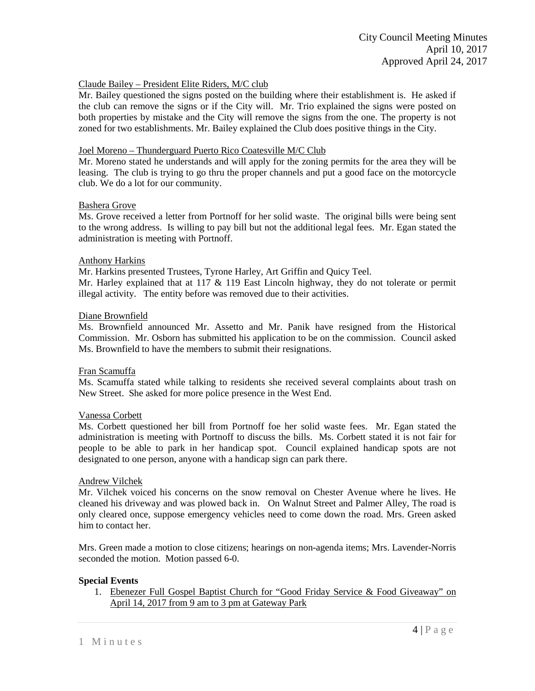# Claude Bailey – President Elite Riders, M/C club

Mr. Bailey questioned the signs posted on the building where their establishment is. He asked if the club can remove the signs or if the City will. Mr. Trio explained the signs were posted on both properties by mistake and the City will remove the signs from the one. The property is not zoned for two establishments. Mr. Bailey explained the Club does positive things in the City.

### Joel Moreno – Thunderguard Puerto Rico Coatesville M/C Club

Mr. Moreno stated he understands and will apply for the zoning permits for the area they will be leasing. The club is trying to go thru the proper channels and put a good face on the motorcycle club. We do a lot for our community.

### Bashera Grove

Ms. Grove received a letter from Portnoff for her solid waste. The original bills were being sent to the wrong address. Is willing to pay bill but not the additional legal fees. Mr. Egan stated the administration is meeting with Portnoff.

### Anthony Harkins

Mr. Harkins presented Trustees, Tyrone Harley, Art Griffin and Quicy Teel.

Mr. Harley explained that at 117 & 119 East Lincoln highway, they do not tolerate or permit illegal activity. The entity before was removed due to their activities.

### Diane Brownfield

Ms. Brownfield announced Mr. Assetto and Mr. Panik have resigned from the Historical Commission. Mr. Osborn has submitted his application to be on the commission. Council asked Ms. Brownfield to have the members to submit their resignations.

#### Fran Scamuffa

Ms. Scamuffa stated while talking to residents she received several complaints about trash on New Street. She asked for more police presence in the West End.

# Vanessa Corbett

Ms. Corbett questioned her bill from Portnoff foe her solid waste fees. Mr. Egan stated the administration is meeting with Portnoff to discuss the bills. Ms. Corbett stated it is not fair for people to be able to park in her handicap spot. Council explained handicap spots are not designated to one person, anyone with a handicap sign can park there.

#### Andrew Vilchek

Mr. Vilchek voiced his concerns on the snow removal on Chester Avenue where he lives. He cleaned his driveway and was plowed back in. On Walnut Street and Palmer Alley, The road is only cleared once, suppose emergency vehicles need to come down the road. Mrs. Green asked him to contact her.

Mrs. Green made a motion to close citizens; hearings on non-agenda items; Mrs. Lavender-Norris seconded the motion. Motion passed 6-0.

# **Special Events**

1. Ebenezer Full Gospel Baptist Church for "Good Friday Service & Food Giveaway" on April 14, 2017 from 9 am to 3 pm at Gateway Park